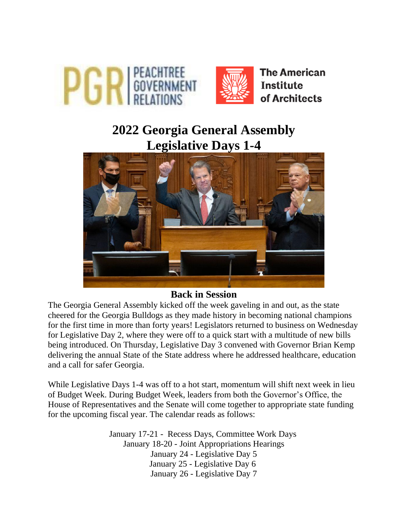

# **2022 Georgia General Assembly Legislative Days 1-4**



#### **Back in Session**

The Georgia General Assembly kicked off the week gaveling in and out, as the state cheered for the Georgia Bulldogs as they made history in becoming national champions for the first time in more than forty years! Legislators returned to business on Wednesday for Legislative Day 2, where they were off to a quick start with a multitude of new bills being introduced. On Thursday, Legislative Day 3 convened with Governor Brian Kemp delivering the annual State of the State address where he addressed healthcare, education and a call for safer Georgia.

While Legislative Days 1-4 was off to a hot start, momentum will shift next week in lieu of Budget Week. During Budget Week, leaders from both the Governor's Office, the House of Representatives and the Senate will come together to appropriate state funding for the upcoming fiscal year. The calendar reads as follows:

> January 17-21 - Recess Days, Committee Work Days January 18-20 - Joint Appropriations Hearings January 24 - Legislative Day 5 January 25 - Legislative Day 6 January 26 - Legislative Day 7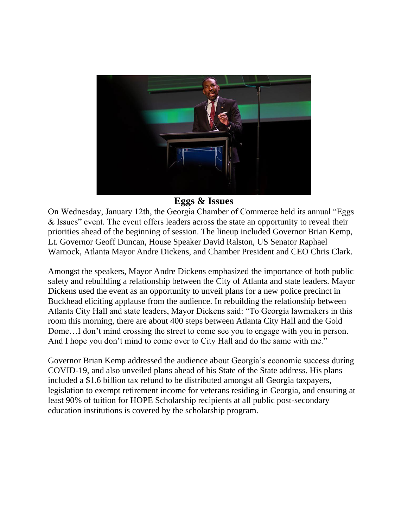

## **Eggs & Issues**

On Wednesday, January 12th, the Georgia Chamber of Commerce held its annual "Eggs & Issues" event. The event offers leaders across the state an opportunity to reveal their priorities ahead of the beginning of session. The lineup included Governor Brian Kemp, Lt. Governor Geoff Duncan, House Speaker David Ralston, US Senator Raphael Warnock, Atlanta Mayor Andre Dickens, and Chamber President and CEO Chris Clark.

Amongst the speakers, Mayor Andre Dickens emphasized the importance of both public safety and rebuilding a relationship between the City of Atlanta and state leaders. Mayor Dickens used the event as an opportunity to unveil plans for a new police precinct in Buckhead eliciting applause from the audience. In rebuilding the relationship between Atlanta City Hall and state leaders, Mayor Dickens said: "To Georgia lawmakers in this room this morning, there are about 400 steps between Atlanta City Hall and the Gold Dome…I don't mind crossing the street to come see you to engage with you in person. And I hope you don't mind to come over to City Hall and do the same with me."

Governor Brian Kemp addressed the audience about Georgia's economic success during COVID-19, and also unveiled plans ahead of his State of the State address. His plans included a \$1.6 billion tax refund to be distributed amongst all Georgia taxpayers, legislation to exempt retirement income for veterans residing in Georgia, and ensuring at least 90% of tuition for HOPE Scholarship recipients at all public post-secondary education institutions is covered by the scholarship program.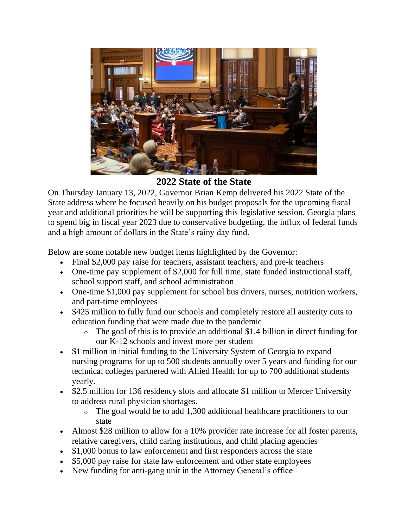

**2022 State of the State**

On Thursday January 13, 2022, Governor Brian Kemp delivered his 2022 State of the State address where he focused heavily on his budget proposals for the upcoming fiscal year and additional priorities he will be supporting this legislative session. Georgia plans to spend big in fiscal year 2023 due to conservative budgeting, the influx of federal funds and a high amount of dollars in the State's rainy day fund.

Below are some notable new budget items highlighted by the Governor:

- Final \$2,000 pay raise for teachers, assistant teachers, and pre-k teachers
- One-time pay supplement of \$2,000 for full time, state funded instructional staff, school support staff, and school administration
- One-time \$1,000 pay supplement for school bus drivers, nurses, nutrition workers, and part-time employees
- \$425 million to fully fund our schools and completely restore all austerity cuts to education funding that were made due to the pandemic
	- o The goal of this is to provide an additional \$1.4 billion in direct funding for our K-12 schools and invest more per student
- \$1 million in initial funding to the University System of Georgia to expand nursing programs for up to 500 students annually over 5 years and funding for our technical colleges partnered with Allied Health for up to 700 additional students yearly.
- \$2.5 million for 136 residency slots and allocate \$1 million to Mercer University to address rural physician shortages.
	- o The goal would be to add 1,300 additional healthcare practitioners to our state
- Almost \$28 million to allow for a 10% provider rate increase for all foster parents, relative caregivers, child caring institutions, and child placing agencies
- \$1,000 bonus to law enforcement and first responders across the state
- \$5,000 pay raise for state law enforcement and other state employees
- New funding for anti-gang unit in the Attorney General's office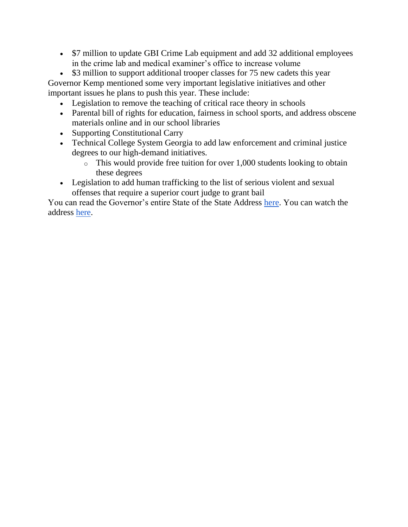• \$7 million to update GBI Crime Lab equipment and add 32 additional employees in the crime lab and medical examiner's office to increase volume

• \$3 million to support additional trooper classes for 75 new cadets this year Governor Kemp mentioned some very important legislative initiatives and other important issues he plans to push this year. These include:

- Legislation to remove the teaching of critical race theory in schools
- Parental bill of rights for education, fairness in school sports, and address obscene materials online and in our school libraries
- Supporting Constitutional Carry
- Technical College System Georgia to add law enforcement and criminal justice degrees to our high-demand initiatives.
	- $\circ$  This would provide free tuition for over 1,000 students looking to obtain these degrees
- Legislation to add human trafficking to the list of serious violent and sexual offenses that require a superior court judge to grant bail

You can read the Governor's entire State of the State Address [here.](https://gov.georgia.gov/press-releases/2022-01-13/governor-brian-p-kemps-2022-state-state-address) You can watch the address [here.](https://vimeo.com/665275955?embedded=true&source=vimeo_logo&owner=138794257)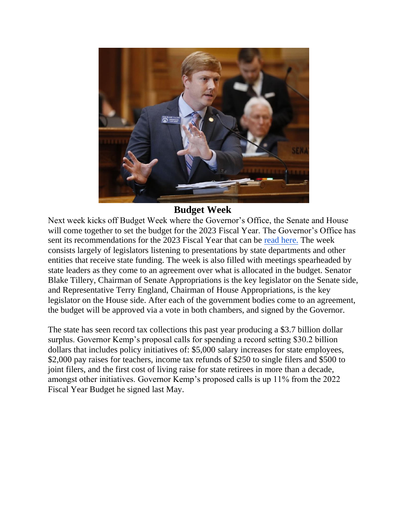

## **Budget Week**

Next week kicks off Budget Week where the Governor's Office, the Senate and House will come together to set the budget for the 2023 Fiscal Year. The Governor's Office has sent its recommendations for the 2023 Fiscal Year that can be [read here.](https://opb.georgia.gov/document/governors-budget-reports/afy-2022-and-fy-2023-governor-budget-report/download) The week consists largely of legislators listening to presentations by state departments and other entities that receive state funding. The week is also filled with meetings spearheaded by state leaders as they come to an agreement over what is allocated in the budget. Senator Blake Tillery, Chairman of Senate Appropriations is the key legislator on the Senate side, and Representative Terry England, Chairman of House Appropriations, is the key legislator on the House side. After each of the government bodies come to an agreement, the budget will be approved via a vote in both chambers, and signed by the Governor.

The state has seen record tax collections this past year producing a \$3.7 billion dollar surplus. Governor Kemp's proposal calls for spending a record setting \$30.2 billion dollars that includes policy initiatives of: \$5,000 salary increases for state employees, \$2,000 pay raises for teachers, income tax refunds of \$250 to single filers and \$500 to joint filers, and the first cost of living raise for state retirees in more than a decade, amongst other initiatives. Governor Kemp's proposed calls is up 11% from the 2022 Fiscal Year Budget he signed last May.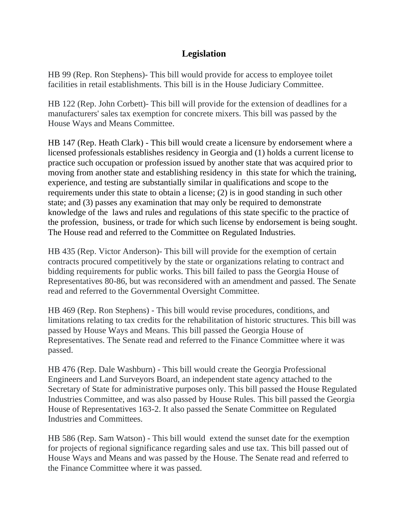### **Legislation**

HB 99 (Rep. Ron Stephens)- This bill would provide for access to employee toilet facilities in retail establishments. This bill is in the House Judiciary Committee.

HB 122 (Rep. John Corbett)- This bill will provide for the extension of deadlines for a manufacturers' sales tax exemption for concrete mixers. This bill was passed by the House Ways and Means Committee.

HB 147 (Rep. Heath Clark) - This bill would create a licensure by endorsement where a licensed professionals establishes residency in Georgia and (1) holds a current license to practice such occupation or profession issued by another state that was acquired prior to moving from another state and establishing residency in this state for which the training, experience, and testing are substantially similar in qualifications and scope to the requirements under this state to obtain a license; (2) is in good standing in such other state; and (3) passes any examination that may only be required to demonstrate knowledge of the laws and rules and regulations of this state specific to the practice of the profession, business, or trade for which such license by endorsement is being sought. The House read and referred to the Committee on Regulated Industries.

HB 435 (Rep. Victor Anderson)- This bill will provide for the exemption of certain contracts procured competitively by the state or organizations relating to contract and bidding requirements for public works. This bill failed to pass the Georgia House of Representatives 80-86, but was reconsidered with an amendment and passed. The Senate read and referred to the Governmental Oversight Committee.

HB 469 (Rep. Ron Stephens) - This bill would revise procedures, conditions, and limitations relating to tax credits for the rehabilitation of historic structures. This bill was passed by House Ways and Means. This bill passed the Georgia House of Representatives. The Senate read and referred to the Finance Committee where it was passed.

HB 476 (Rep. Dale Washburn) - This bill would create the Georgia Professional Engineers and Land Surveyors Board, an independent state agency attached to the Secretary of State for administrative purposes only. This bill passed the House Regulated Industries Committee, and was also passed by House Rules. This bill passed the Georgia House of Representatives 163-2. It also passed the Senate Committee on Regulated Industries and Committees.

HB 586 (Rep. Sam Watson) - This bill would extend the sunset date for the exemption for projects of regional significance regarding sales and use tax. This bill passed out of House Ways and Means and was passed by the House. The Senate read and referred to the Finance Committee where it was passed.